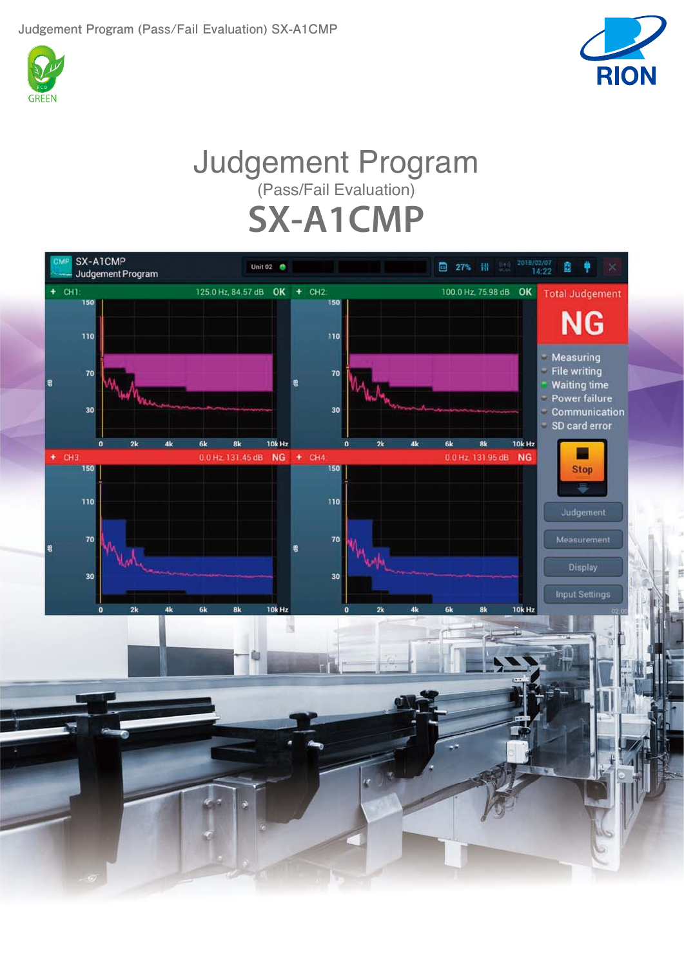



## Judgement Program (Pass/Fail Evaluation) **SX-A1CMP**

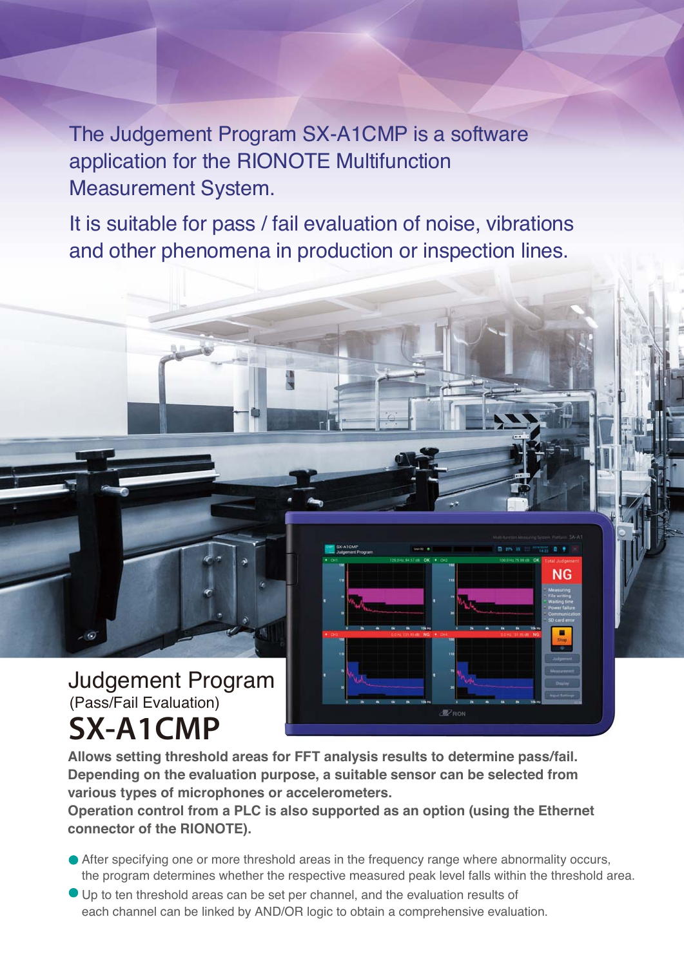The Judgement Program SX-A1CMP is a software application for the RIONOTE Multifunction Measurement System.

It is suitable for pass / fail evaluation of noise, vibrations and other phenomena in production or inspection lines.



**Allows setting threshold areas for FFT analysis results to determine pass/fail. Depending on the evaluation purpose, a suitable sensor can be selected from various types of microphones or accelerometers.**

**Operation control from a PLC is also supported as an option (using the Ethernet connector of the RIONOTE).**

After specifying one or more threshold areas in the frequency range where abnormality occurs, the program determines whether the respective measured peak level falls within the threshold area.

Đ

**NG** 

Up to ten threshold areas can be set per channel, and the evaluation results of each channel can be linked by AND/OR logic to obtain a comprehensive evaluation.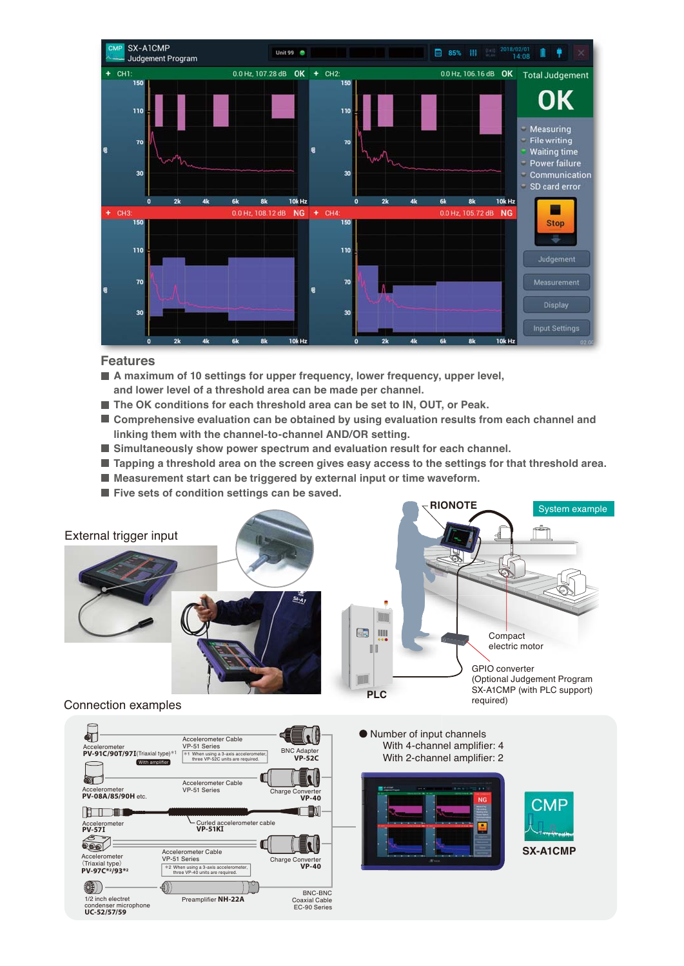

## **Features**

- **A maximum of 10 settings for upper frequency, lower frequency, upper level, and lower level of a threshold area can be made per channel.**
- **The OK conditions for each threshold area can be set to IN, OUT, or Peak.**
- **Comprehensive evaluation can be obtained by using evaluation results from each channel and linking them with the channel-to-channel AND/OR setting.**
- **Simultaneously show power spectrum and evaluation result for each channel.**
- **Tapping a threshold area on the screen gives easy access to the settings for that threshold area.**
- **Measurement start can be triggered by external input or time waveform.**
- **Five sets of condition settings can be saved.**